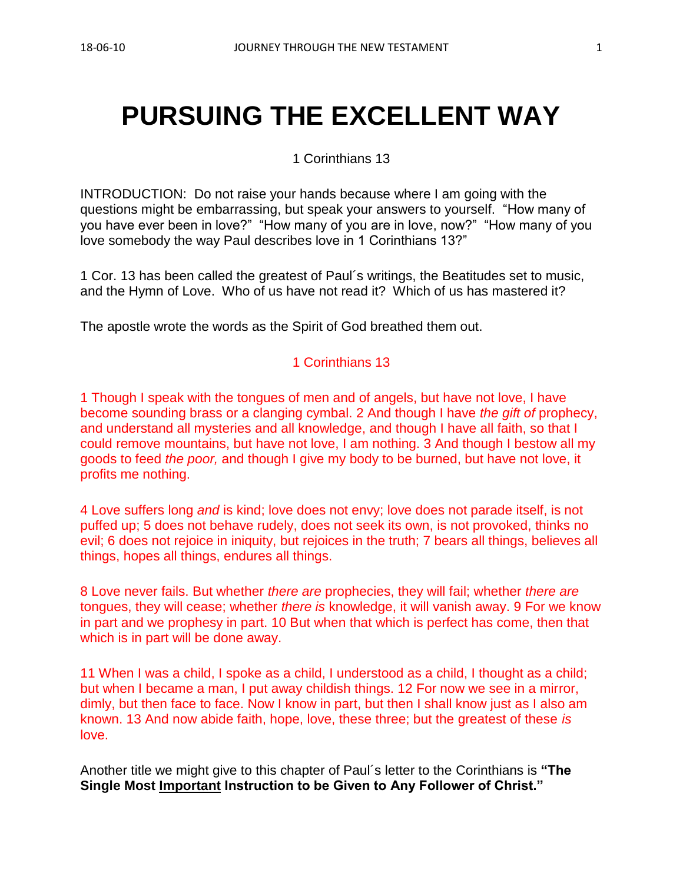# **PURSUING THE EXCELLENT WAY**

1 Corinthians 13

INTRODUCTION: Do not raise your hands because where I am going with the questions might be embarrassing, but speak your answers to yourself. "How many of you have ever been in love?" "How many of you are in love, now?" "How many of you love somebody the way Paul describes love in 1 Corinthians 13?"

1 Cor. 13 has been called the greatest of Paul´s writings, the Beatitudes set to music, and the Hymn of Love. Who of us have not read it? Which of us has mastered it?

The apostle wrote the words as the Spirit of God breathed them out.

#### 1 Corinthians 13

1 Though I speak with the tongues of men and of angels, but have not love, I have become sounding brass or a clanging cymbal. 2 And though I have *the gift of* prophecy, and understand all mysteries and all knowledge, and though I have all faith, so that I could remove mountains, but have not love, I am nothing. 3 And though I bestow all my goods to feed *the poor,* and though I give my body to be burned, but have not love, it profits me nothing.

4 Love suffers long *and* is kind; love does not envy; love does not parade itself, is not puffed up; 5 does not behave rudely, does not seek its own, is not provoked, thinks no evil; 6 does not rejoice in iniquity, but rejoices in the truth; 7 bears all things, believes all things, hopes all things, endures all things.

8 Love never fails. But whether *there are* prophecies, they will fail; whether *there are* tongues, they will cease; whether *there is* knowledge, it will vanish away. 9 For we know in part and we prophesy in part. 10 But when that which is perfect has come, then that which is in part will be done away.

11 When I was a child, I spoke as a child, I understood as a child, I thought as a child; but when I became a man, I put away childish things. 12 For now we see in a mirror, dimly, but then face to face. Now I know in part, but then I shall know just as I also am known. 13 And now abide faith, hope, love, these three; but the greatest of these *is* love.

Another title we might give to this chapter of Paul´s letter to the Corinthians is **"The Single Most Important Instruction to be Given to Any Follower of Christ."**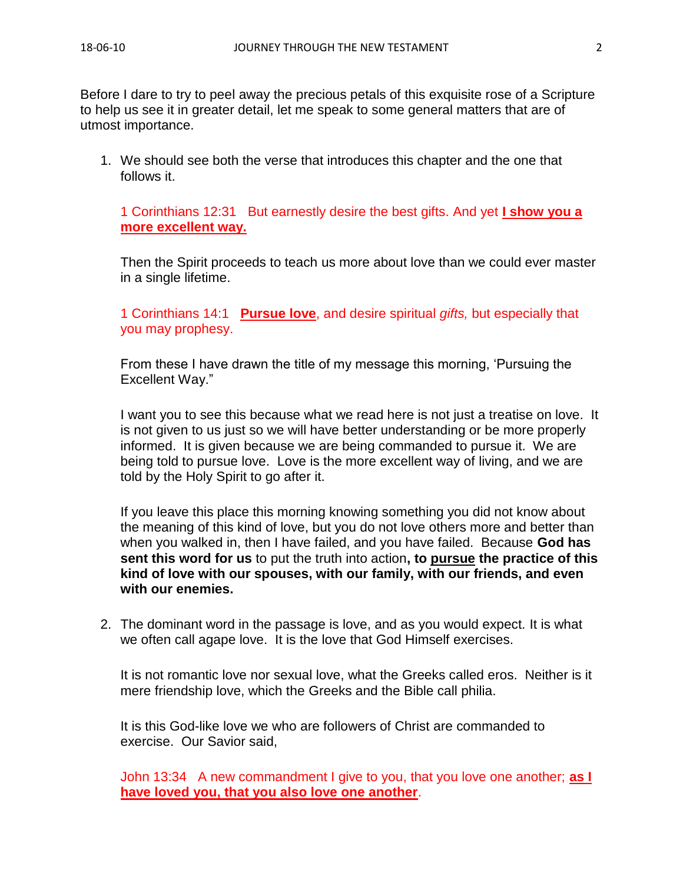Before I dare to try to peel away the precious petals of this exquisite rose of a Scripture to help us see it in greater detail, let me speak to some general matters that are of utmost importance.

1. We should see both the verse that introduces this chapter and the one that follows it.

1 Corinthians 12:31 But earnestly desire the best gifts. And yet **I show you a more excellent way.** 

Then the Spirit proceeds to teach us more about love than we could ever master in a single lifetime.

1 Corinthians 14:1 **Pursue love**, and desire spiritual *gifts,* but especially that you may prophesy.

From these I have drawn the title of my message this morning, 'Pursuing the Excellent Way."

I want you to see this because what we read here is not just a treatise on love. It is not given to us just so we will have better understanding or be more properly informed. It is given because we are being commanded to pursue it. We are being told to pursue love. Love is the more excellent way of living, and we are told by the Holy Spirit to go after it.

If you leave this place this morning knowing something you did not know about the meaning of this kind of love, but you do not love others more and better than when you walked in, then I have failed, and you have failed. Because **God has sent this word for us** to put the truth into action**, to pursue the practice of this kind of love with our spouses, with our family, with our friends, and even with our enemies.**

2. The dominant word in the passage is love, and as you would expect. It is what we often call agape love. It is the love that God Himself exercises.

It is not romantic love nor sexual love, what the Greeks called eros. Neither is it mere friendship love, which the Greeks and the Bible call philia.

It is this God-like love we who are followers of Christ are commanded to exercise. Our Savior said,

John 13:34 A new commandment I give to you, that you love one another; **as I have loved you, that you also love one another**.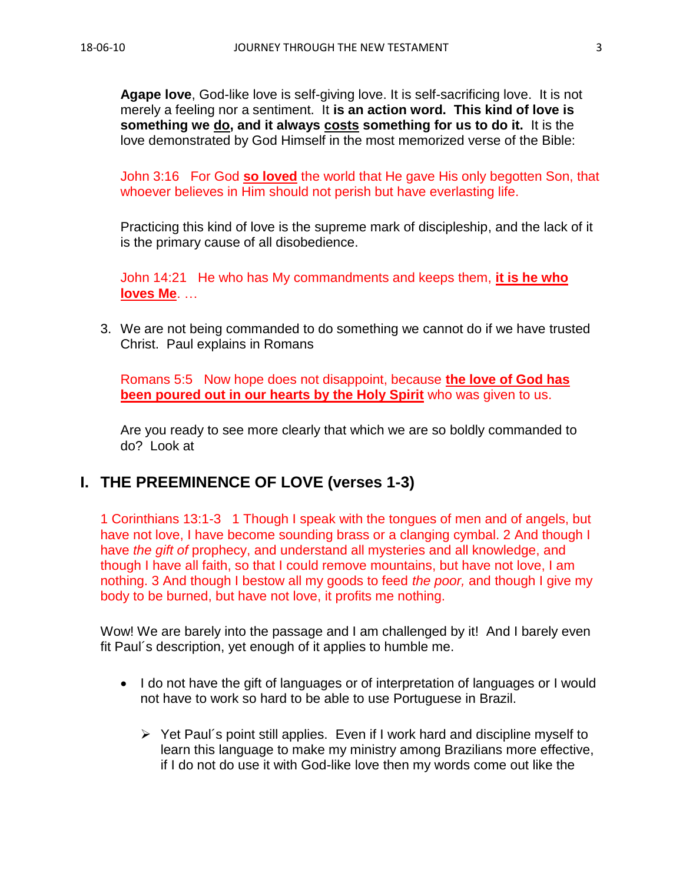**Agape love**, God-like love is self-giving love. It is self-sacrificing love. It is not merely a feeling nor a sentiment. It **is an action word. This kind of love is something we do, and it always costs something for us to do it.** It is the love demonstrated by God Himself in the most memorized verse of the Bible:

John 3:16 For God **so loved** the world that He gave His only begotten Son, that whoever believes in Him should not perish but have everlasting life.

Practicing this kind of love is the supreme mark of discipleship, and the lack of it is the primary cause of all disobedience.

John 14:21 He who has My commandments and keeps them, **it is he who loves Me**. …

3. We are not being commanded to do something we cannot do if we have trusted Christ. Paul explains in Romans

Romans 5:5 Now hope does not disappoint, because **the love of God has been poured out in our hearts by the Holy Spirit** who was given to us.

Are you ready to see more clearly that which we are so boldly commanded to do? Look at

### **I. THE PREEMINENCE OF LOVE (verses 1-3)**

1 Corinthians 13:1-3 1 Though I speak with the tongues of men and of angels, but have not love, I have become sounding brass or a clanging cymbal. 2 And though I have *the gift of* prophecy, and understand all mysteries and all knowledge, and though I have all faith, so that I could remove mountains, but have not love, I am nothing. 3 And though I bestow all my goods to feed *the poor,* and though I give my body to be burned, but have not love, it profits me nothing.

Wow! We are barely into the passage and I am challenged by it! And I barely even fit Paul´s description, yet enough of it applies to humble me.

- I do not have the gift of languages or of interpretation of languages or I would not have to work so hard to be able to use Portuguese in Brazil.
	- $\triangleright$  Yet Paul's point still applies. Even if I work hard and discipline myself to learn this language to make my ministry among Brazilians more effective, if I do not do use it with God-like love then my words come out like the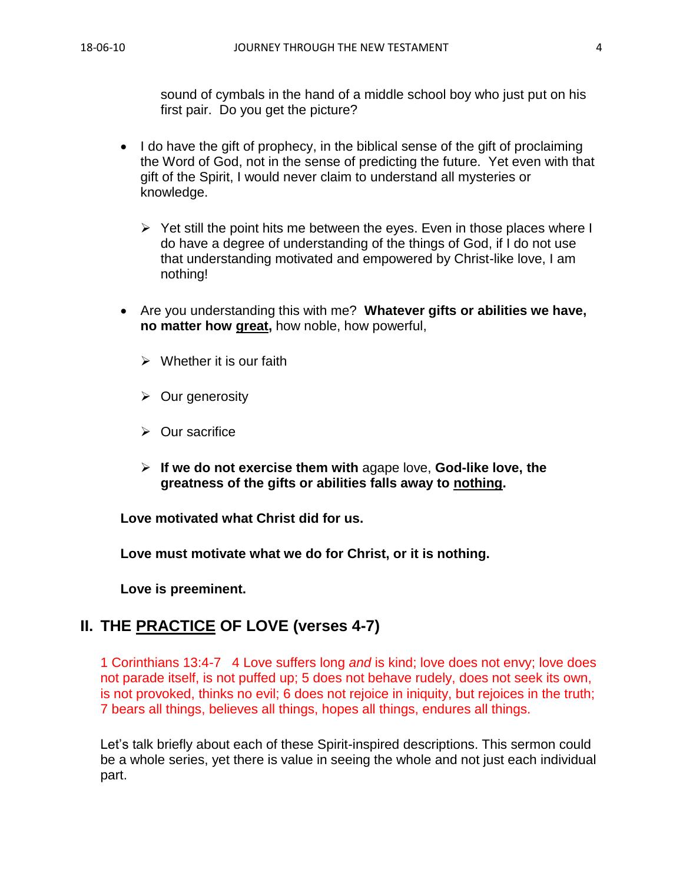sound of cymbals in the hand of a middle school boy who just put on his first pair. Do you get the picture?

- I do have the gift of prophecy, in the biblical sense of the gift of proclaiming the Word of God, not in the sense of predicting the future. Yet even with that gift of the Spirit, I would never claim to understand all mysteries or knowledge.
	- $\triangleright$  Yet still the point hits me between the eyes. Even in those places where I do have a degree of understanding of the things of God, if I do not use that understanding motivated and empowered by Christ-like love, I am nothing!
- Are you understanding this with me? **Whatever gifts or abilities we have, no matter how great,** how noble, how powerful,
	- $\triangleright$  Whether it is our faith
	- $\triangleright$  Our generosity
	- ➢ Our sacrifice
	- ➢ **If we do not exercise them with** agape love, **God-like love, the greatness of the gifts or abilities falls away to nothing.**

**Love motivated what Christ did for us.**

**Love must motivate what we do for Christ, or it is nothing.**

**Love is preeminent.**

## **II. THE PRACTICE OF LOVE (verses 4-7)**

1 Corinthians 13:4-7 4 Love suffers long *and* is kind; love does not envy; love does not parade itself, is not puffed up; 5 does not behave rudely, does not seek its own, is not provoked, thinks no evil; 6 does not rejoice in iniquity, but rejoices in the truth; 7 bears all things, believes all things, hopes all things, endures all things.

Let's talk briefly about each of these Spirit-inspired descriptions. This sermon could be a whole series, yet there is value in seeing the whole and not just each individual part.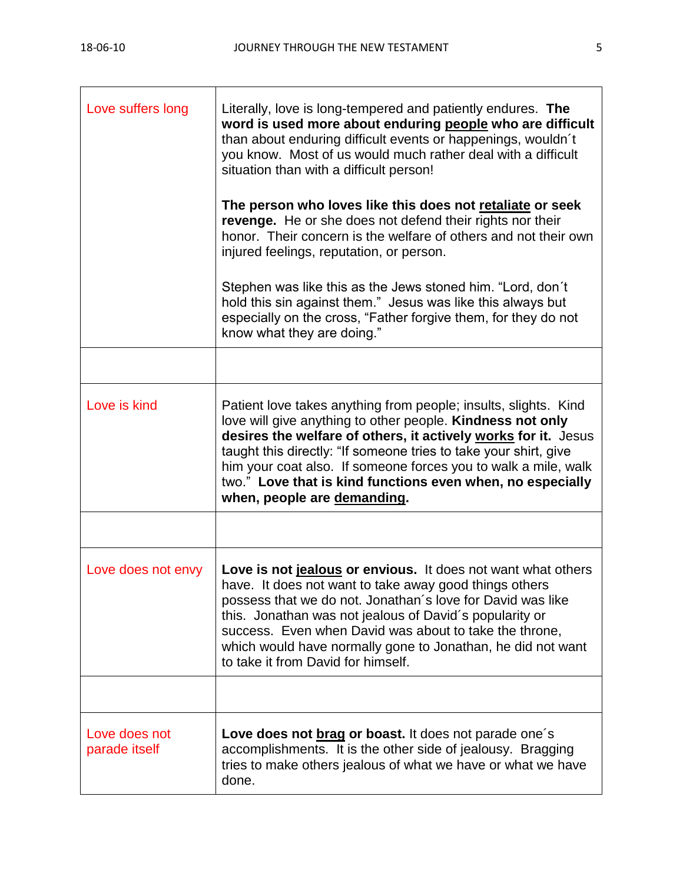| Love suffers long              | Literally, love is long-tempered and patiently endures. The<br>word is used more about enduring people who are difficult<br>than about enduring difficult events or happenings, wouldn't<br>you know. Most of us would much rather deal with a difficult<br>situation than with a difficult person!<br>The person who loves like this does not retaliate or seek<br>revenge. He or she does not defend their rights nor their<br>honor. Their concern is the welfare of others and not their own<br>injured feelings, reputation, or person.<br>Stephen was like this as the Jews stoned him. "Lord, don't<br>hold this sin against them." Jesus was like this always but<br>especially on the cross, "Father forgive them, for they do not<br>know what they are doing." |
|--------------------------------|---------------------------------------------------------------------------------------------------------------------------------------------------------------------------------------------------------------------------------------------------------------------------------------------------------------------------------------------------------------------------------------------------------------------------------------------------------------------------------------------------------------------------------------------------------------------------------------------------------------------------------------------------------------------------------------------------------------------------------------------------------------------------|
|                                |                                                                                                                                                                                                                                                                                                                                                                                                                                                                                                                                                                                                                                                                                                                                                                           |
| Love is kind                   | Patient love takes anything from people; insults, slights. Kind<br>love will give anything to other people. Kindness not only<br>desires the welfare of others, it actively works for it. Jesus<br>taught this directly: "If someone tries to take your shirt, give<br>him your coat also. If someone forces you to walk a mile, walk<br>two." Love that is kind functions even when, no especially<br>when, people are demanding.                                                                                                                                                                                                                                                                                                                                        |
|                                |                                                                                                                                                                                                                                                                                                                                                                                                                                                                                                                                                                                                                                                                                                                                                                           |
| Love does not envy             | Love is not jealous or envious. It does not want what others<br>have. It does not want to take away good things others<br>possess that we do not. Jonathan's love for David was like<br>this. Jonathan was not jealous of David's popularity or<br>success. Even when David was about to take the throne,<br>which would have normally gone to Jonathan, he did not want<br>to take it from David for himself.                                                                                                                                                                                                                                                                                                                                                            |
|                                |                                                                                                                                                                                                                                                                                                                                                                                                                                                                                                                                                                                                                                                                                                                                                                           |
| Love does not<br>parade itself | Love does not brag or boast. It does not parade one's<br>accomplishments. It is the other side of jealousy. Bragging<br>tries to make others jealous of what we have or what we have<br>done.                                                                                                                                                                                                                                                                                                                                                                                                                                                                                                                                                                             |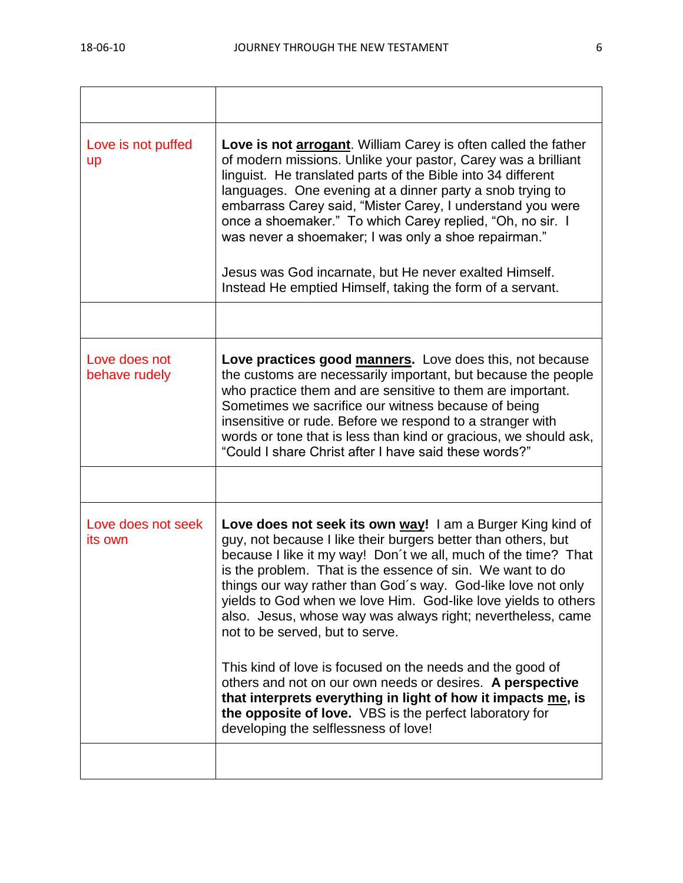| Love is not puffed<br><b>up</b> | Love is not <b>arrogant</b> . William Carey is often called the father<br>of modern missions. Unlike your pastor, Carey was a brilliant<br>linguist. He translated parts of the Bible into 34 different<br>languages. One evening at a dinner party a snob trying to<br>embarrass Carey said, "Mister Carey, I understand you were<br>once a shoemaker." To which Carey replied, "Oh, no sir. I<br>was never a shoemaker; I was only a shoe repairman."<br>Jesus was God incarnate, but He never exalted Himself.<br>Instead He emptied Himself, taking the form of a servant. |
|---------------------------------|--------------------------------------------------------------------------------------------------------------------------------------------------------------------------------------------------------------------------------------------------------------------------------------------------------------------------------------------------------------------------------------------------------------------------------------------------------------------------------------------------------------------------------------------------------------------------------|
|                                 |                                                                                                                                                                                                                                                                                                                                                                                                                                                                                                                                                                                |
| Love does not<br>behave rudely  | Love practices good manners. Love does this, not because<br>the customs are necessarily important, but because the people<br>who practice them and are sensitive to them are important.<br>Sometimes we sacrifice our witness because of being<br>insensitive or rude. Before we respond to a stranger with<br>words or tone that is less than kind or gracious, we should ask,<br>"Could I share Christ after I have said these words?"                                                                                                                                       |
|                                 |                                                                                                                                                                                                                                                                                                                                                                                                                                                                                                                                                                                |
| Love does not seek<br>its own   | Love does not seek its own way! I am a Burger King kind of<br>guy, not because I like their burgers better than others, but<br>because I like it my way! Don't we all, much of the time? That<br>is the problem. That is the essence of sin. We want to do<br>things our way rather than God's way. God-like love not only<br>yields to God when we love Him. God-like love yields to others<br>also. Jesus, whose way was always right; nevertheless, came<br>not to be served, but to serve.                                                                                 |
|                                 | This kind of love is focused on the needs and the good of<br>others and not on our own needs or desires. A perspective<br>that interprets everything in light of how it impacts me, is<br>the opposite of love. VBS is the perfect laboratory for<br>developing the selflessness of love!                                                                                                                                                                                                                                                                                      |
|                                 |                                                                                                                                                                                                                                                                                                                                                                                                                                                                                                                                                                                |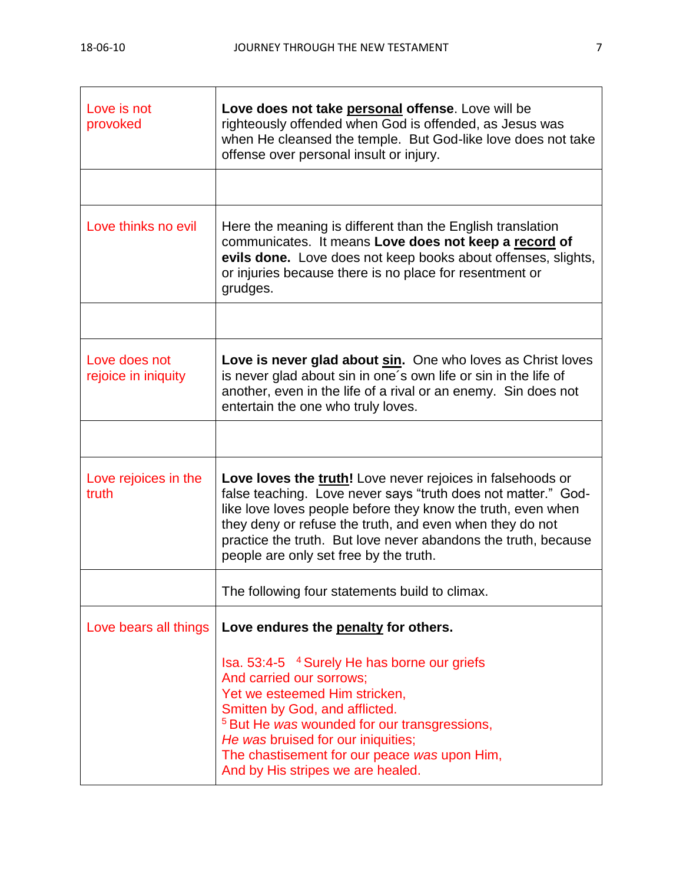| Love is not<br>provoked              | Love does not take personal offense. Love will be<br>righteously offended when God is offended, as Jesus was<br>when He cleansed the temple. But God-like love does not take<br>offense over personal insult or injury.                                                                                                                                             |
|--------------------------------------|---------------------------------------------------------------------------------------------------------------------------------------------------------------------------------------------------------------------------------------------------------------------------------------------------------------------------------------------------------------------|
|                                      |                                                                                                                                                                                                                                                                                                                                                                     |
| Love thinks no evil                  | Here the meaning is different than the English translation<br>communicates. It means Love does not keep a record of<br>evils done. Love does not keep books about offenses, slights,<br>or injuries because there is no place for resentment or<br>grudges.                                                                                                         |
|                                      |                                                                                                                                                                                                                                                                                                                                                                     |
| Love does not<br>rejoice in iniquity | Love is never glad about sin. One who loves as Christ loves<br>is never glad about sin in one's own life or sin in the life of<br>another, even in the life of a rival or an enemy. Sin does not<br>entertain the one who truly loves.                                                                                                                              |
|                                      |                                                                                                                                                                                                                                                                                                                                                                     |
| Love rejoices in the<br>truth        | Love loves the truth! Love never rejoices in falsehoods or<br>false teaching. Love never says "truth does not matter." God-<br>like love loves people before they know the truth, even when<br>they deny or refuse the truth, and even when they do not<br>practice the truth. But love never abandons the truth, because<br>people are only set free by the truth. |
|                                      | The following four statements build to climax.                                                                                                                                                                                                                                                                                                                      |
| Love bears all things                | Love endures the penalty for others.                                                                                                                                                                                                                                                                                                                                |
|                                      | Isa. 53:4-5 4 Surely He has borne our griefs<br>And carried our sorrows;<br>Yet we esteemed Him stricken,<br>Smitten by God, and afflicted.<br><sup>5</sup> But He was wounded for our transgressions,<br>He was bruised for our iniquities;<br>The chastisement for our peace was upon Him,<br>And by His stripes we are healed.                                   |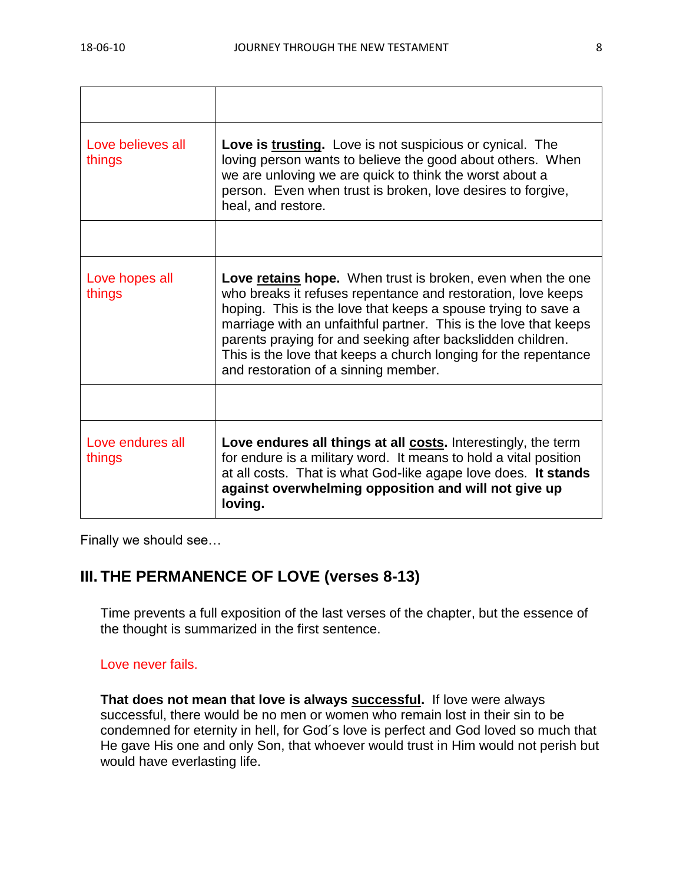| Love believes all<br>things | Love is trusting. Love is not suspicious or cynical. The<br>loving person wants to believe the good about others. When<br>we are unloving we are quick to think the worst about a<br>person. Even when trust is broken, love desires to forgive,<br>heal, and restore.                                                                                                                                                                    |
|-----------------------------|-------------------------------------------------------------------------------------------------------------------------------------------------------------------------------------------------------------------------------------------------------------------------------------------------------------------------------------------------------------------------------------------------------------------------------------------|
|                             |                                                                                                                                                                                                                                                                                                                                                                                                                                           |
| Love hopes all<br>things    | Love retains hope. When trust is broken, even when the one<br>who breaks it refuses repentance and restoration, love keeps<br>hoping. This is the love that keeps a spouse trying to save a<br>marriage with an unfaithful partner. This is the love that keeps<br>parents praying for and seeking after backslidden children.<br>This is the love that keeps a church longing for the repentance<br>and restoration of a sinning member. |
|                             |                                                                                                                                                                                                                                                                                                                                                                                                                                           |
| Love endures all<br>things  | Love endures all things at all <b>costs</b> . Interestingly, the term<br>for endure is a military word. It means to hold a vital position<br>at all costs. That is what God-like agape love does. It stands<br>against overwhelming opposition and will not give up<br>loving.                                                                                                                                                            |

Finally we should see…

## **III. THE PERMANENCE OF LOVE (verses 8-13)**

Time prevents a full exposition of the last verses of the chapter, but the essence of the thought is summarized in the first sentence.

#### Love never fails.

**That does not mean that love is always successful.** If love were always successful, there would be no men or women who remain lost in their sin to be condemned for eternity in hell, for God´s love is perfect and God loved so much that He gave His one and only Son, that whoever would trust in Him would not perish but would have everlasting life.